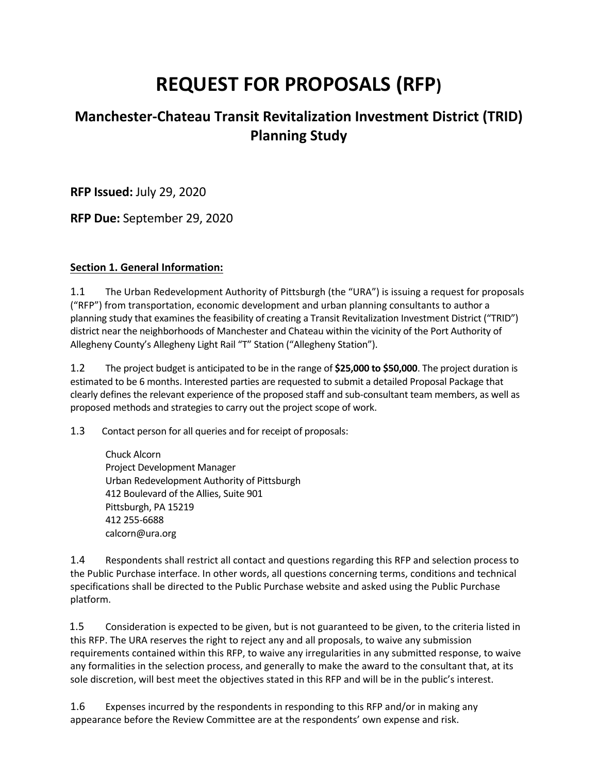# **REQUEST FOR PROPOSALS (RFP)**

# **Manchester-Chateau Transit Revitalization Investment District (TRID) Planning Study**

**RFP Issued:** July 29, 2020

**RFP Due:** September 29, 2020

# **Section 1. General Information:**

1.1 The Urban Redevelopment Authority of Pittsburgh (the "URA") is issuing a request for proposals ("RFP") from transportation, economic development and urban planning consultants to author a planning study that examines the feasibility of creating a Transit Revitalization Investment District ("TRID") district near the neighborhoods of Manchester and Chateau within the vicinity of the Port Authority of Allegheny County's Allegheny Light Rail "T" Station ("Allegheny Station").

1.2 The project budget is anticipated to be in the range of **\$25,000 to \$50,000**. The project duration is estimated to be 6 months. Interested parties are requested to submit a detailed Proposal Package that clearly defines the relevant experience of the proposed staff and sub-consultant team members, as well as proposed methods and strategies to carry out the project scope of work.

1.3 Contact person for all queries and for receipt of proposals:

Chuck Alcorn Project Development Manager Urban Redevelopment Authority of Pittsburgh 412 Boulevard of the Allies, Suite 901 Pittsburgh, PA 15219 412 255-6688 calcorn@ura.org

1.4 Respondents shall restrict all contact and questions regarding this RFP and selection process to the Public Purchase interface. In other words, all questions concerning terms, conditions and technical specifications shall be directed to the Public Purchase website and asked using the Public Purchase platform.

1.5 Consideration is expected to be given, but is not guaranteed to be given, to the criteria listed in this RFP. The URA reserves the right to reject any and all proposals, to waive any submission requirements contained within this RFP, to waive any irregularities in any submitted response, to waive any formalities in the selection process, and generally to make the award to the consultant that, at its sole discretion, will best meet the objectives stated in this RFP and will be in the public's interest.

1.6 Expenses incurred by the respondents in responding to this RFP and/or in making any appearance before the Review Committee are at the respondents' own expense and risk.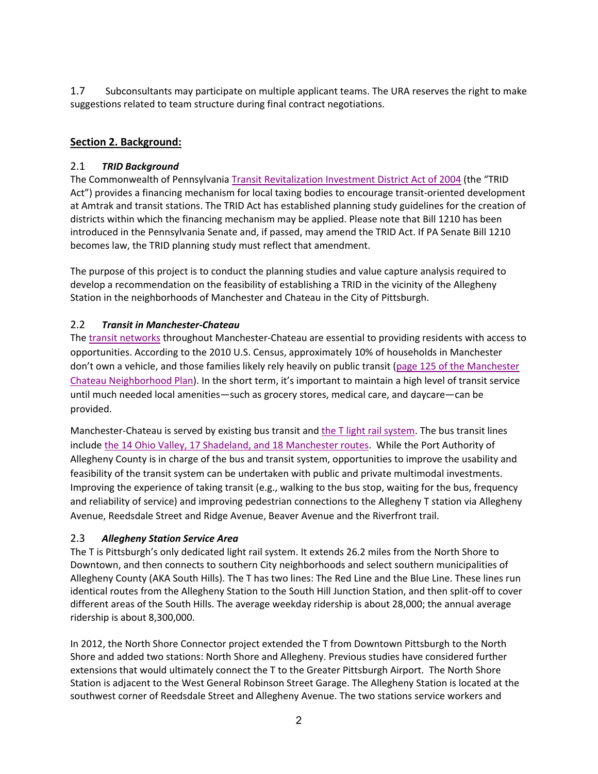1.7 Subconsultants may participate on multiple applicant teams. The URA reserves the right to make suggestions related to team structure during final contract negotiations.

# **Section 2. Background:**

# 2.1 *TRID Background*

The Commonwealth of Pennsylvania [Transit Revitalization Investment District Act of 2004](http://www.legis.state.pa.us/cfdocs/legis/li/uconsCheck.cfm?yr=2004&sessInd=0&act=238) (the "TRID Act") provides a financing mechanism for local taxing bodies to encourage transit-oriented development at Amtrak and transit stations. The TRID Act has established planning study guidelines for the creation of districts within which the financing mechanism may be applied. Please note that Bill 1210 has been introduced in the Pennsylvania Senate and, if passed, may amend the TRID Act. If PA Senate Bill 1210 becomes law, the TRID planning study must reflect that amendment.

The purpose of this project is to conduct the planning studies and value capture analysis required to develop a recommendation on the feasibility of establishing a TRID in the vicinity of the Allegheny Station in the neighborhoods of Manchester and Chateau in the City of Pittsburgh.

# 2.2 *Transit in Manchester-Chateau*

The [transit networks](https://paac.maps.arcgis.com/apps/webappviewer/index.html?id=21b561fba9284378be9f1c620f2dd48e) throughout Manchester-Chateau are essential to providing residents with access to opportunities. According to the 2010 U.S. Census, approximately 10% of households in Manchester don't own a vehicle, and those families likely rely heavily on public transit [\(page 125 of the Manchester](https://apps.pittsburghpa.gov/redtail/images/8151_Manchester_Chateau_Neighborhood_Plan.pdf)  [Chateau Neighborhood Plan\)](https://apps.pittsburghpa.gov/redtail/images/8151_Manchester_Chateau_Neighborhood_Plan.pdf). In the short term, it's important to maintain a high level of transit service until much needed local amenities—such as grocery stores, medical care, and daycare—can be provided.

Manchester-Chateau is served by existing bus transit and  $the T light rail system. The bus transit lines$ </u> include [the 14 Ohio Valley, 17 Shadeland, and 18 Manchester routes.](https://www.portauthority.org/pdfs/18.pdf) While the Port Authority of Allegheny County is in charge of the bus and transit system, opportunities to improve the usability and feasibility of the transit system can be undertaken with public and private multimodal investments. Improving the experience of taking transit (e.g., walking to the bus stop, waiting for the bus, frequency and reliability of service) and improving pedestrian connections to the Allegheny T station via Allegheny Avenue, Reedsdale Street and Ridge Avenue, Beaver Avenue and the Riverfront trail.

# 2.3 *Allegheny Station Service Area*

The T is Pittsburgh's only dedicated light rail system. It extends 26.2 miles from the North Shore to Downtown, and then connects to southern City neighborhoods and select southern municipalities of Allegheny County (AKA South Hills). The T has two lines: The Red Line and the Blue Line. These lines run identical routes from the Allegheny Station to the South Hill Junction Station, and then split-off to cover different areas of the South Hills. The average weekday ridership is about 28,000; the annual average ridership is about 8,300,000.

In 2012, the North Shore Connector project extended the T from Downtown Pittsburgh to the North Shore and added two stations: North Shore and Allegheny. Previous studies have considered further extensions that would ultimately connect the T to the Greater Pittsburgh Airport. The North Shore Station is adjacent to the West General Robinson Street Garage. The Allegheny Station is located at the southwest corner of Reedsdale Street and Allegheny Avenue. The two stations service workers and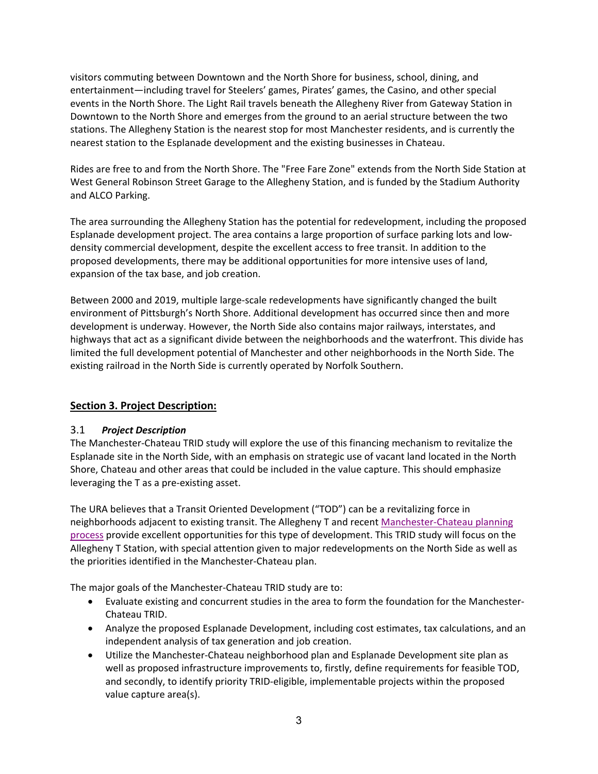visitors commuting between Downtown and the North Shore for business, school, dining, and entertainment—including travel for Steelers' games, Pirates' games, the Casino, and other special events in the North Shore. The Light Rail travels beneath the Allegheny River from Gateway Station in Downtown to the North Shore and emerges from the ground to an aerial structure between the two stations. The Allegheny Station is the nearest stop for most Manchester residents, and is currently the nearest station to the Esplanade development and the existing businesses in Chateau.

Rides are free to and from the North Shore. The "Free Fare Zone" extends from the North Side Station at West General Robinson Street Garage to the Allegheny Station, and is funded by the Stadium Authority and ALCO Parking.

The area surrounding the Allegheny Station has the potential for redevelopment, including the proposed Esplanade development project. The area contains a large proportion of surface parking lots and lowdensity commercial development, despite the excellent access to free transit. In addition to the proposed developments, there may be additional opportunities for more intensive uses of land, expansion of the tax base, and job creation.

Between 2000 and 2019, multiple large-scale redevelopments have significantly changed the built environment of Pittsburgh's North Shore. Additional development has occurred since then and more development is underway. However, the North Side also contains major railways, interstates, and highways that act as a significant divide between the neighborhoods and the waterfront. This divide has limited the full development potential of Manchester and other neighborhoods in the North Side. The existing railroad in the North Side is currently operated by Norfolk Southern.

# **Section 3. Project Description:**

# 3.1 *Project Description*

The Manchester-Chateau TRID study will explore the use of this financing mechanism to revitalize the Esplanade site in the North Side, with an emphasis on strategic use of vacant land located in the North Shore, Chateau and other areas that could be included in the value capture. This should emphasize leveraging the T as a pre-existing asset.

The URA believes that a Transit Oriented Development ("TOD") can be a revitalizing force in neighborhoods adjacent to existing transit. The Allegheny T and recent [Manchester-Chateau](https://pittsburghpa.gov/dcp/mcnp) planning [process](https://pittsburghpa.gov/dcp/mcnp) provide excellent opportunities for this type of development. This TRID study will focus on the Allegheny T Station, with special attention given to major redevelopments on the North Side as well as the priorities identified in the Manchester-Chateau plan.

The major goals of the Manchester-Chateau TRID study are to:

- Evaluate existing and concurrent studies in the area to form the foundation for the Manchester-Chateau TRID.
- Analyze the proposed Esplanade Development, including cost estimates, tax calculations, and an independent analysis of tax generation and job creation.
- Utilize the Manchester-Chateau neighborhood plan and Esplanade Development site plan as well as proposed infrastructure improvements to, firstly, define requirements for feasible TOD, and secondly, to identify priority TRID-eligible, implementable projects within the proposed value capture area(s).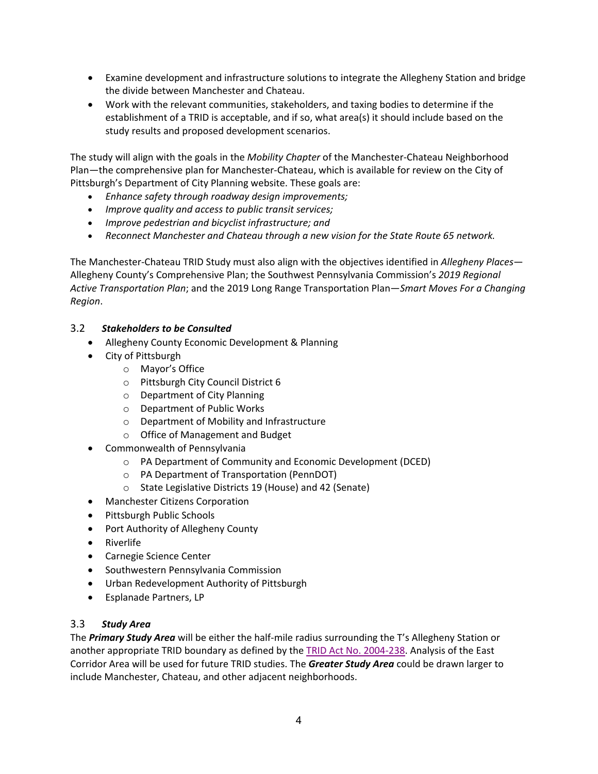- Examine development and infrastructure solutions to integrate the Allegheny Station and bridge the divide between Manchester and Chateau.
- Work with the relevant communities, stakeholders, and taxing bodies to determine if the establishment of a TRID is acceptable, and if so, what area(s) it should include based on the study results and proposed development scenarios.

The study will align with the goals in the *Mobility Chapter* of the Manchester-Chateau Neighborhood Plan—the comprehensive plan for Manchester-Chateau, which is available for review on the City of Pittsburgh's Department of City Planning website. These goals are:

- *Enhance safety through roadway design improvements;*
- *Improve quality and access to public transit services;*
- *Improve pedestrian and bicyclist infrastructure; and*
- *Reconnect Manchester and Chateau through a new vision for the State Route 65 network.*

The Manchester-Chateau TRID Study must also align with the objectives identified in *Allegheny Places*— Allegheny County's Comprehensive Plan; the Southwest Pennsylvania Commission's *2019 Regional Active Transportation Plan*; and the 2019 Long Range Transportation Plan—*Smart Moves For a Changing Region*.

# 3.2 *Stakeholders to be Consulted*

- Allegheny County Economic Development & Planning
- City of Pittsburgh
	- o Mayor's Office
	- o Pittsburgh City Council District 6
	- o Department of City Planning
	- o Department of Public Works
	- o Department of Mobility and Infrastructure
	- o Office of Management and Budget
- Commonwealth of Pennsylvania
	- o PA Department of Community and Economic Development (DCED)
	- o PA Department of Transportation (PennDOT)
	- o State Legislative Districts 19 (House) and 42 (Senate)
- Manchester Citizens Corporation
- Pittsburgh Public Schools
- Port Authority of Allegheny County
- Riverlife
- Carnegie Science Center
- Southwestern Pennsylvania Commission
- Urban Redevelopment Authority of Pittsburgh
- Esplanade Partners, LP

#### 3.3 *Study Area*

The *Primary Study Area* will be either the half-mile radius surrounding the T's Allegheny Station or another appropriate TRID boundary as defined by the [TRID Act No. 2004-238.](https://www.legis.state.pa.us/cfdocs/legis/LI/uconsCheck.cfm?txtType=HTM&yr=2004&sessInd=0&smthLwInd=0&act=238&chpt=7) Analysis of the East Corridor Area will be used for future TRID studies. The *Greater Study Area* could be drawn larger to include Manchester, Chateau, and other adjacent neighborhoods.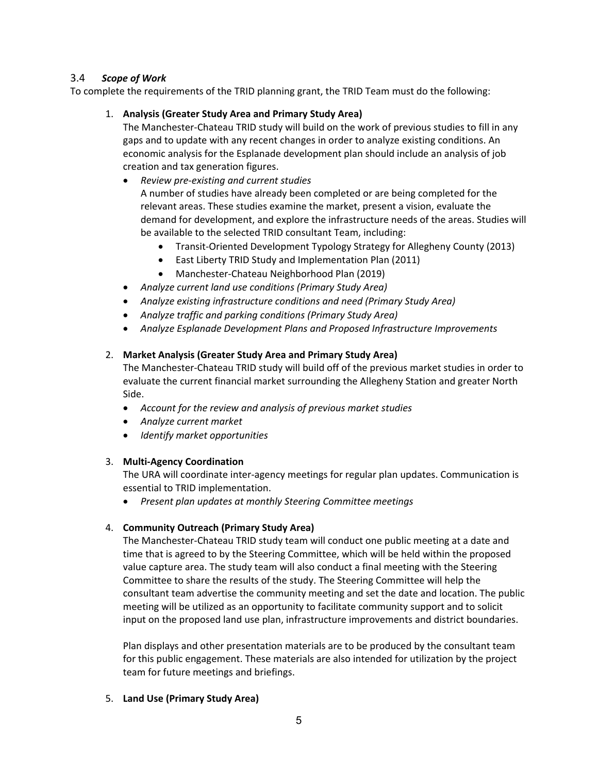# 3.4 *Scope of Work*

To complete the requirements of the TRID planning grant, the TRID Team must do the following:

#### 1. **Analysis (Greater Study Area and Primary Study Area)**

The Manchester-Chateau TRID study will build on the work of previous studies to fill in any gaps and to update with any recent changes in order to analyze existing conditions. An economic analysis for the Esplanade development plan should include an analysis of job creation and tax generation figures.

- *Review pre-existing and current studies* A number of studies have already been completed or are being completed for the relevant areas. These studies examine the market, present a vision, evaluate the demand for development, and explore the infrastructure needs of the areas. Studies will be available to the selected TRID consultant Team, including:
	- Transit-Oriented Development Typology Strategy for Allegheny County (2013)
	- East Liberty TRID Study and Implementation Plan (2011)
	- Manchester-Chateau Neighborhood Plan (2019)
- *Analyze current land use conditions (Primary Study Area)*
- *Analyze existing infrastructure conditions and need (Primary Study Area)*
- *Analyze traffic and parking conditions (Primary Study Area)*
- *Analyze Esplanade Development Plans and Proposed Infrastructure Improvements*

#### 2. **Market Analysis (Greater Study Area and Primary Study Area)**

The Manchester-Chateau TRID study will build off of the previous market studies in order to evaluate the current financial market surrounding the Allegheny Station and greater North Side.

- *Account for the review and analysis of previous market studies*
- *Analyze current market*
- *Identify market opportunities*

#### 3. **Multi-Agency Coordination**

The URA will coordinate inter-agency meetings for regular plan updates. Communication is essential to TRID implementation.

• *Present plan updates at monthly Steering Committee meetings*

#### 4. **Community Outreach (Primary Study Area)**

The Manchester-Chateau TRID study team will conduct one public meeting at a date and time that is agreed to by the Steering Committee, which will be held within the proposed value capture area. The study team will also conduct a final meeting with the Steering Committee to share the results of the study. The Steering Committee will help the consultant team advertise the community meeting and set the date and location. The public meeting will be utilized as an opportunity to facilitate community support and to solicit input on the proposed land use plan, infrastructure improvements and district boundaries.

Plan displays and other presentation materials are to be produced by the consultant team for this public engagement. These materials are also intended for utilization by the project team for future meetings and briefings.

#### 5. **Land Use (Primary Study Area)**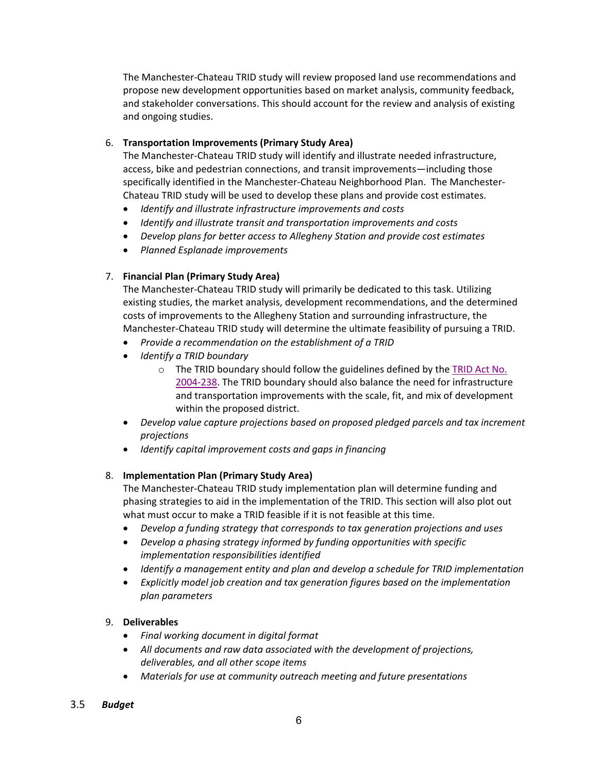The Manchester-Chateau TRID study will review proposed land use recommendations and propose new development opportunities based on market analysis, community feedback, and stakeholder conversations. This should account for the review and analysis of existing and ongoing studies.

# 6. **Transportation Improvements (Primary Study Area)**

The Manchester-Chateau TRID study will identify and illustrate needed infrastructure, access, bike and pedestrian connections, and transit improvements—including those specifically identified in the Manchester-Chateau Neighborhood Plan. The Manchester-Chateau TRID study will be used to develop these plans and provide cost estimates.

- *Identify and illustrate infrastructure improvements and costs*
- *Identify and illustrate transit and transportation improvements and costs*
- *Develop plans for better access to Allegheny Station and provide cost estimates*
- *Planned Esplanade improvements*

# 7. **Financial Plan (Primary Study Area)**

The Manchester-Chateau TRID study will primarily be dedicated to this task. Utilizing existing studies, the market analysis, development recommendations, and the determined costs of improvements to the Allegheny Station and surrounding infrastructure, the Manchester-Chateau TRID study will determine the ultimate feasibility of pursuing a TRID.

- *Provide a recommendation on the establishment of a TRID*
- *Identify a TRID boundary* 
	- o The TRID boundary should follow the guidelines defined by the TRID Act No. [2004-238.](https://www.legis.state.pa.us/cfdocs/legis/LI/uconsCheck.cfm?txtType=HTM&yr=2004&sessInd=0&smthLwInd=0&act=238&chpt=7) The TRID boundary should also balance the need for infrastructure and transportation improvements with the scale, fit, and mix of development within the proposed district.
- *Develop value capture projections based on proposed pledged parcels and tax increment projections*
- *Identify capital improvement costs and gaps in financing*

#### 8. **Implementation Plan (Primary Study Area)**

The Manchester-Chateau TRID study implementation plan will determine funding and phasing strategies to aid in the implementation of the TRID. This section will also plot out what must occur to make a TRID feasible if it is not feasible at this time.

- *Develop a funding strategy that corresponds to tax generation projections and uses*
- *Develop a phasing strategy informed by funding opportunities with specific implementation responsibilities identified*
- *Identify a management entity and plan and develop a schedule for TRID implementation*
- *Explicitly model job creation and tax generation figures based on the implementation plan parameters*

#### 9. **Deliverables**

- *Final working document in digital format*
- *All documents and raw data associated with the development of projections, deliverables, and all other scope items*
- *Materials for use at community outreach meeting and future presentations*

#### 3.5 *Budget*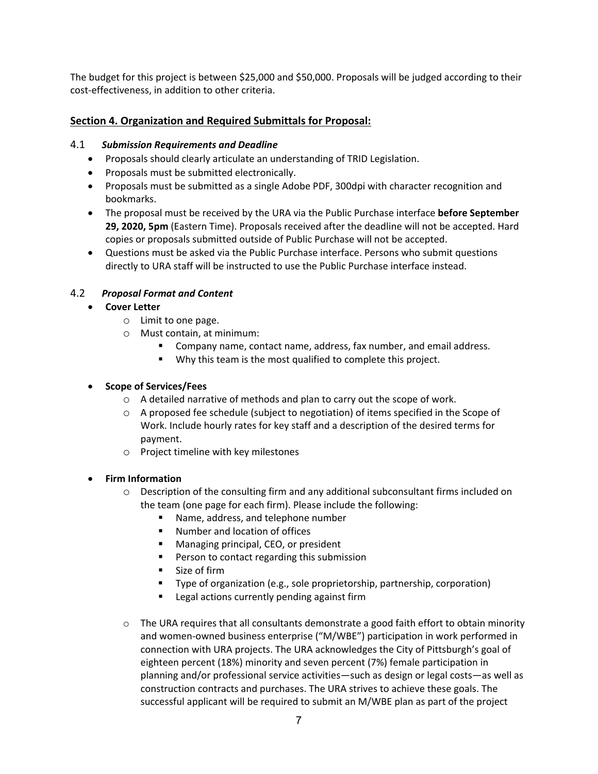The budget for this project is between \$25,000 and \$50,000. Proposals will be judged according to their cost-effectiveness, in addition to other criteria.

# **Section 4. Organization and Required Submittals for Proposal:**

#### 4.1 *Submission Requirements and Deadline*

- Proposals should clearly articulate an understanding of TRID Legislation.
- Proposals must be submitted electronically.
- Proposals must be submitted as a single Adobe PDF, 300dpi with character recognition and bookmarks.
- The proposal must be received by the URA via the Public Purchase interface **before September 29, 2020, 5pm** (Eastern Time). Proposals received after the deadline will not be accepted. Hard copies or proposals submitted outside of Public Purchase will not be accepted.
- Questions must be asked via the Public Purchase interface. Persons who submit questions directly to URA staff will be instructed to use the Public Purchase interface instead.

#### 4.2 *Proposal Format and Content*

- **Cover Letter**
	- o Limit to one page.
	- o Must contain, at minimum:
		- Company name, contact name, address, fax number, and email address.
		- Why this team is the most qualified to complete this project.

#### • **Scope of Services/Fees**

- o A detailed narrative of methods and plan to carry out the scope of work.
- o A proposed fee schedule (subject to negotiation) of items specified in the Scope of Work. Include hourly rates for key staff and a description of the desired terms for payment.
- o Project timeline with key milestones

#### • **Firm Information**

- $\circ$  Description of the consulting firm and any additional subconsultant firms included on the team (one page for each firm). Please include the following:
	- Name, address, and telephone number
	- Number and location of offices
	- **Managing principal, CEO, or president**
	- **Person to contact regarding this submission**
	- Size of firm
	- Type of organization (e.g., sole proprietorship, partnership, corporation)
	- **EXEC** Legal actions currently pending against firm
- $\circ$  The URA requires that all consultants demonstrate a good faith effort to obtain minority and women-owned business enterprise ("M/WBE") participation in work performed in connection with URA projects. The URA acknowledges the City of Pittsburgh's goal of eighteen percent (18%) minority and seven percent (7%) female participation in planning and/or professional service activities—such as design or legal costs—as well as construction contracts and purchases. The URA strives to achieve these goals. The successful applicant will be required to submit an M/WBE plan as part of the project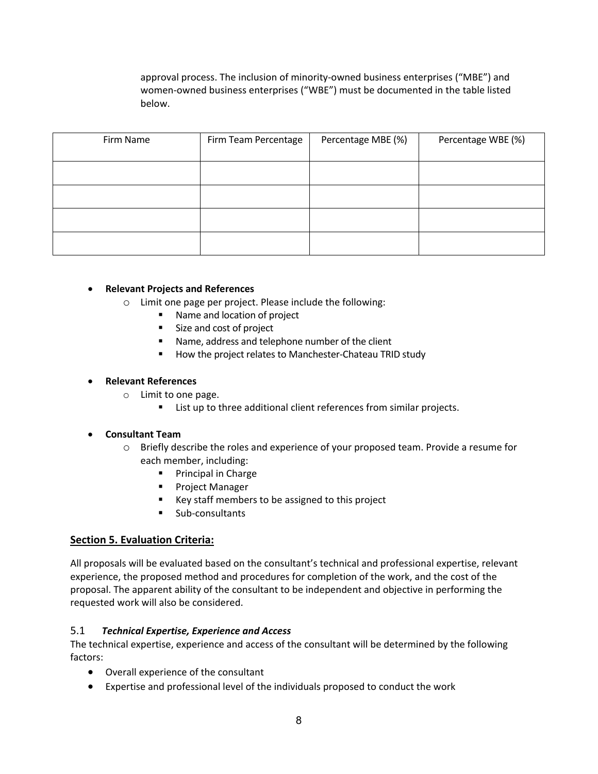approval process. The inclusion of minority-owned business enterprises ("MBE") and women-owned business enterprises ("WBE") must be documented in the table listed below.

| Firm Name | Firm Team Percentage | Percentage MBE (%) | Percentage WBE (%) |
|-----------|----------------------|--------------------|--------------------|
|           |                      |                    |                    |
|           |                      |                    |                    |
|           |                      |                    |                    |
|           |                      |                    |                    |

#### • **Relevant Projects and References**

- o Limit one page per project. Please include the following:
	- Name and location of project
	- Size and cost of project
	- Name, address and telephone number of the client
	- How the project relates to Manchester-Chateau TRID study

#### • **Relevant References**

- o Limit to one page.
	- **EXECT** List up to three additional client references from similar projects.

#### • **Consultant Team**

- o Briefly describe the roles and experience of your proposed team. Provide a resume for each member, including:
	- **Principal in Charge**
	- **Project Manager**
	- Key staff members to be assigned to this project
	- **Sub-consultants**

#### **Section 5. Evaluation Criteria:**

All proposals will be evaluated based on the consultant's technical and professional expertise, relevant experience, the proposed method and procedures for completion of the work, and the cost of the proposal. The apparent ability of the consultant to be independent and objective in performing the requested work will also be considered.

#### 5.1 *Technical Expertise, Experience and Access*

The technical expertise, experience and access of the consultant will be determined by the following factors:

- Overall experience of the consultant
- Expertise and professional level of the individuals proposed to conduct the work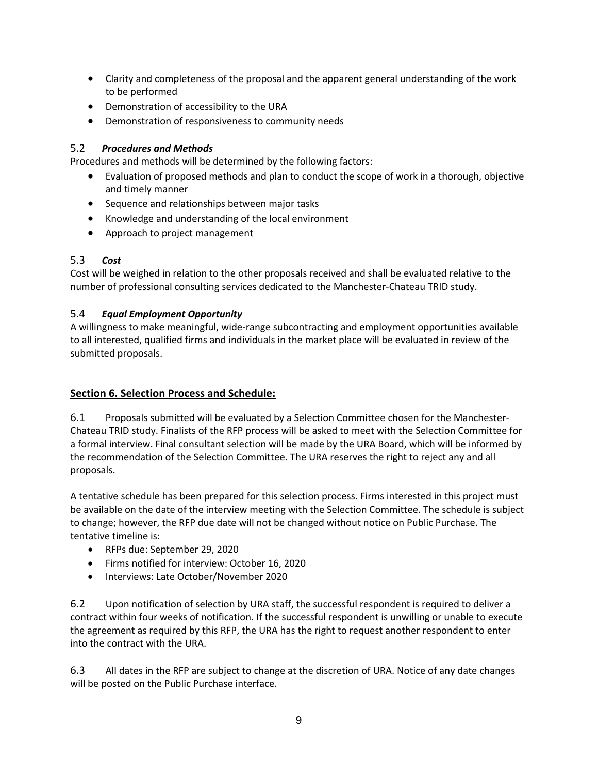- Clarity and completeness of the proposal and the apparent general understanding of the work to be performed
- Demonstration of accessibility to the URA
- Demonstration of responsiveness to community needs

# 5.2 *Procedures and Methods*

Procedures and methods will be determined by the following factors:

- Evaluation of proposed methods and plan to conduct the scope of work in a thorough, objective and timely manner
- Sequence and relationships between major tasks
- Knowledge and understanding of the local environment
- Approach to project management

# 5.3 *Cost*

Cost will be weighed in relation to the other proposals received and shall be evaluated relative to the number of professional consulting services dedicated to the Manchester-Chateau TRID study.

# 5.4 *Equal Employment Opportunity*

A willingness to make meaningful, wide-range subcontracting and employment opportunities available to all interested, qualified firms and individuals in the market place will be evaluated in review of the submitted proposals.

# **Section 6. Selection Process and Schedule:**

6.1 Proposals submitted will be evaluated by a Selection Committee chosen for the Manchester-Chateau TRID study. Finalists of the RFP process will be asked to meet with the Selection Committee for a formal interview. Final consultant selection will be made by the URA Board, which will be informed by the recommendation of the Selection Committee. The URA reserves the right to reject any and all proposals.

A tentative schedule has been prepared for this selection process. Firms interested in this project must be available on the date of the interview meeting with the Selection Committee. The schedule is subject to change; however, the RFP due date will not be changed without notice on Public Purchase. The tentative timeline is:

- RFPs due: September 29, 2020
- Firms notified for interview: October 16, 2020
- Interviews: Late October/November 2020

6.2 Upon notification of selection by URA staff, the successful respondent is required to deliver a contract within four weeks of notification. If the successful respondent is unwilling or unable to execute the agreement as required by this RFP, the URA has the right to request another respondent to enter into the contract with the URA.

6.3 All dates in the RFP are subject to change at the discretion of URA. Notice of any date changes will be posted on the Public Purchase interface.